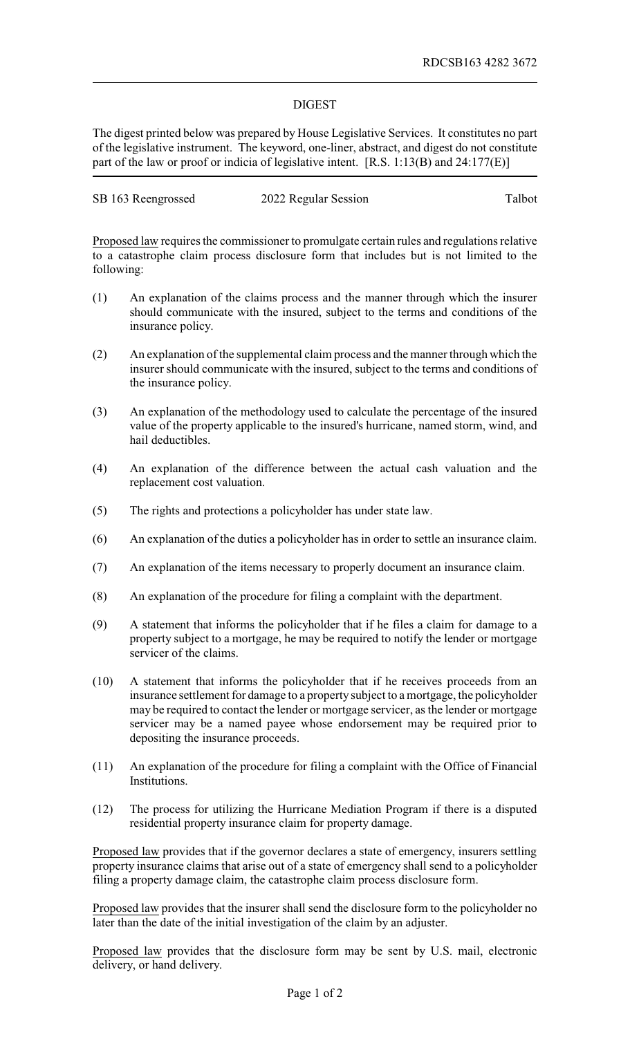## DIGEST

The digest printed below was prepared by House Legislative Services. It constitutes no part of the legislative instrument. The keyword, one-liner, abstract, and digest do not constitute part of the law or proof or indicia of legislative intent. [R.S. 1:13(B) and 24:177(E)]

| SB 163 Reengrossed | 2022 Regular Session | Talbot |
|--------------------|----------------------|--------|
|                    |                      |        |

Proposed law requires the commissioner to promulgate certain rules and regulations relative to a catastrophe claim process disclosure form that includes but is not limited to the following:

- (1) An explanation of the claims process and the manner through which the insurer should communicate with the insured, subject to the terms and conditions of the insurance policy.
- (2) An explanation of the supplemental claim process and the manner through which the insurer should communicate with the insured, subject to the terms and conditions of the insurance policy.
- (3) An explanation of the methodology used to calculate the percentage of the insured value of the property applicable to the insured's hurricane, named storm, wind, and hail deductibles.
- (4) An explanation of the difference between the actual cash valuation and the replacement cost valuation.
- (5) The rights and protections a policyholder has under state law.
- (6) An explanation of the duties a policyholder has in order to settle an insurance claim.
- (7) An explanation of the items necessary to properly document an insurance claim.
- (8) An explanation of the procedure for filing a complaint with the department.
- (9) A statement that informs the policyholder that if he files a claim for damage to a property subject to a mortgage, he may be required to notify the lender or mortgage servicer of the claims.
- (10) A statement that informs the policyholder that if he receives proceeds from an insurance settlement for damage to a property subject to a mortgage, the policyholder may be required to contact the lender or mortgage servicer, as the lender or mortgage servicer may be a named payee whose endorsement may be required prior to depositing the insurance proceeds.
- (11) An explanation of the procedure for filing a complaint with the Office of Financial Institutions.
- (12) The process for utilizing the Hurricane Mediation Program if there is a disputed residential property insurance claim for property damage.

Proposed law provides that if the governor declares a state of emergency, insurers settling property insurance claims that arise out of a state of emergency shall send to a policyholder filing a property damage claim, the catastrophe claim process disclosure form.

Proposed law provides that the insurer shall send the disclosure form to the policyholder no later than the date of the initial investigation of the claim by an adjuster.

Proposed law provides that the disclosure form may be sent by U.S. mail, electronic delivery, or hand delivery.